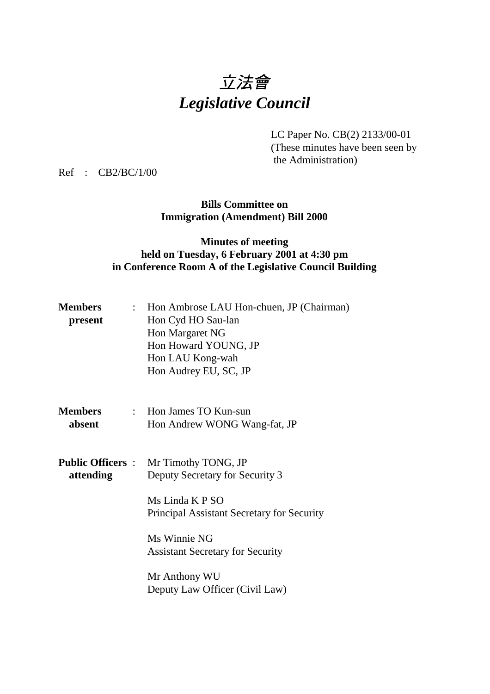# 立法會 *Legislative Council*

LC Paper No. CB(2) 2133/00-01

(These minutes have been seen by the Administration)

Ref : CB2/BC/1/00

**Bills Committee on Immigration (Amendment) Bill 2000**

# **Minutes of meeting held on Tuesday, 6 February 2001 at 4:30 pm in Conference Room A of the Legislative Council Building**

| <b>Members</b><br>present | : Hon Ambrose LAU Hon-chuen, JP (Chairman)<br>Hon Cyd HO Sau-lan<br>Hon Margaret NG<br>Hon Howard YOUNG, JP<br>Hon LAU Kong-wah<br>Hon Audrey EU, SC, JP |
|---------------------------|----------------------------------------------------------------------------------------------------------------------------------------------------------|
| <b>Members</b><br>absent  | : Hon James TO Kun-sun<br>Hon Andrew WONG Wang-fat, JP                                                                                                   |
| attending                 | <b>Public Officers :</b> Mr Timothy TONG, JP<br>Deputy Secretary for Security 3<br>Ms Linda K P SO<br><b>Principal Assistant Secretary for Security</b>  |
|                           | Ms Winnie NG<br><b>Assistant Secretary for Security</b>                                                                                                  |
|                           | Mr Anthony WU<br>Deputy Law Officer (Civil Law)                                                                                                          |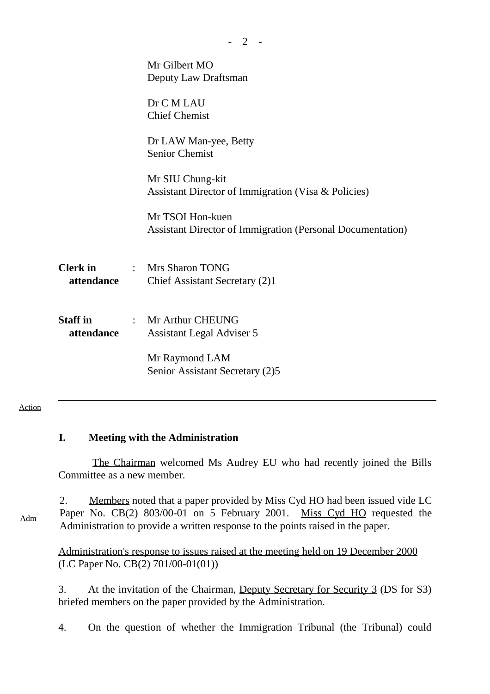|                               | Mr Gilbert MO<br>Deputy Law Draftsman                                                 |
|-------------------------------|---------------------------------------------------------------------------------------|
|                               | Dr C M LAU<br><b>Chief Chemist</b>                                                    |
|                               | Dr LAW Man-yee, Betty<br><b>Senior Chemist</b>                                        |
|                               | Mr SIU Chung-kit<br>Assistant Director of Immigration (Visa & Policies)               |
|                               | Mr TSOI Hon-kuen<br><b>Assistant Director of Immigration (Personal Documentation)</b> |
| attendance                    | <b>Clerk in : Mrs Sharon TONG</b><br>Chief Assistant Secretary (2)1                   |
| <b>Staff</b> in<br>attendance | : Mr Arthur CHEUNG<br>Assistant Legal Adviser 5                                       |
|                               | Mr Raymond LAM<br>Senior Assistant Secretary (2)5                                     |

 $- 2 -$ 

#### Action

Adm

## **I. Meeting with the Administration**

 The Chairman welcomed Ms Audrey EU who had recently joined the Bills Committee as a new member.

2. Members noted that a paper provided by Miss Cyd HO had been issued vide LC Paper No.  $CB(2)$  803/00-01 on 5 February 2001. Miss Cyd HO requested the Administration to provide a written response to the points raised in the paper.

Administration's response to issues raised at the meeting held on 19 December 2000 (LC Paper No. CB(2) 701/00-01(01))

3. At the invitation of the Chairman, Deputy Secretary for Security 3 (DS for S3) briefed members on the paper provided by the Administration.

4. On the question of whether the Immigration Tribunal (the Tribunal) could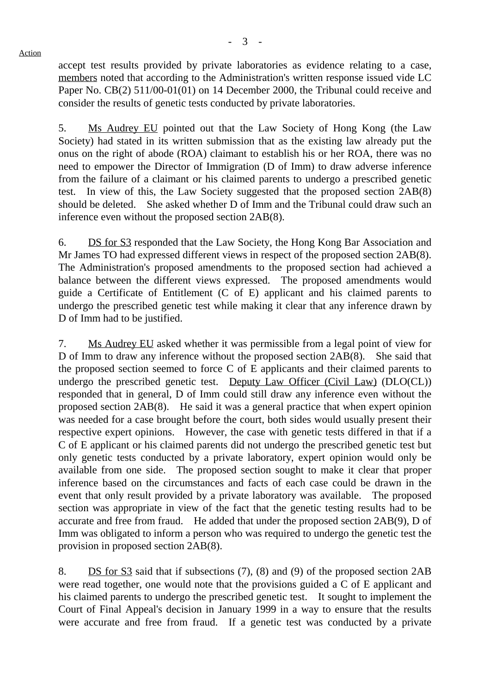Action

accept test results provided by private laboratories as evidence relating to a case, members noted that according to the Administration's written response issued vide LC Paper No. CB(2) 511/00-01(01) on 14 December 2000, the Tribunal could receive and consider the results of genetic tests conducted by private laboratories.

5. Ms Audrey EU pointed out that the Law Society of Hong Kong (the Law Society) had stated in its written submission that as the existing law already put the onus on the right of abode (ROA) claimant to establish his or her ROA, there was no need to empower the Director of Immigration (D of Imm) to draw adverse inference from the failure of a claimant or his claimed parents to undergo a prescribed genetic test. In view of this, the Law Society suggested that the proposed section 2AB(8) should be deleted. She asked whether D of Imm and the Tribunal could draw such an inference even without the proposed section 2AB(8).

6. DS for S3 responded that the Law Society, the Hong Kong Bar Association and Mr James TO had expressed different views in respect of the proposed section 2AB(8). The Administration's proposed amendments to the proposed section had achieved a balance between the different views expressed. The proposed amendments would guide a Certificate of Entitlement (C of E) applicant and his claimed parents to undergo the prescribed genetic test while making it clear that any inference drawn by D of Imm had to be justified.

7. Ms Audrey EU asked whether it was permissible from a legal point of view for D of Imm to draw any inference without the proposed section 2AB(8). She said that the proposed section seemed to force C of E applicants and their claimed parents to undergo the prescribed genetic test. Deputy Law Officer (Civil Law) (DLO(CL)) responded that in general, D of Imm could still draw any inference even without the proposed section 2AB(8). He said it was a general practice that when expert opinion was needed for a case brought before the court, both sides would usually present their respective expert opinions. However, the case with genetic tests differed in that if a C of E applicant or his claimed parents did not undergo the prescribed genetic test but only genetic tests conducted by a private laboratory, expert opinion would only be available from one side. The proposed section sought to make it clear that proper inference based on the circumstances and facts of each case could be drawn in the event that only result provided by a private laboratory was available. The proposed section was appropriate in view of the fact that the genetic testing results had to be accurate and free from fraud. He added that under the proposed section 2AB(9), D of Imm was obligated to inform a person who was required to undergo the genetic test the provision in proposed section 2AB(8).

8. DS for S3 said that if subsections (7), (8) and (9) of the proposed section 2AB were read together, one would note that the provisions guided a C of E applicant and his claimed parents to undergo the prescribed genetic test. It sought to implement the Court of Final Appeal's decision in January 1999 in a way to ensure that the results were accurate and free from fraud. If a genetic test was conducted by a private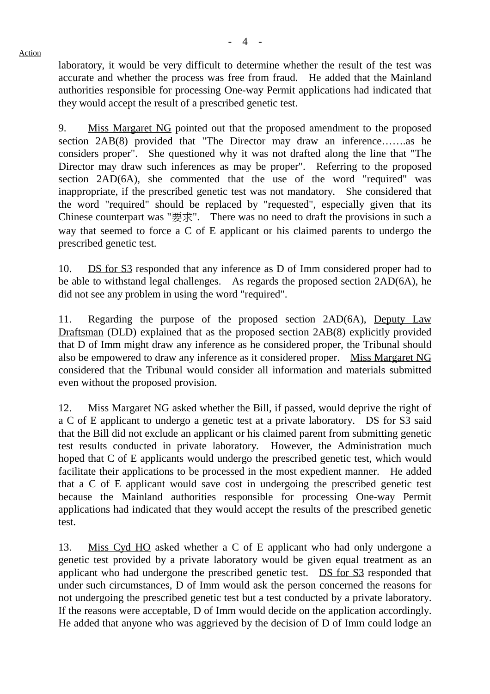Action

laboratory, it would be very difficult to determine whether the result of the test was accurate and whether the process was free from fraud. He added that the Mainland authorities responsible for processing One-way Permit applications had indicated that they would accept the result of a prescribed genetic test.

9. Miss Margaret NG pointed out that the proposed amendment to the proposed section 2AB(8) provided that "The Director may draw an inference…….as he considers proper". She questioned why it was not drafted along the line that "The Director may draw such inferences as may be proper". Referring to the proposed section 2AD(6A), she commented that the use of the word "required" was inappropriate, if the prescribed genetic test was not mandatory. She considered that the word "required" should be replaced by "requested", especially given that its Chinese counterpart was "要求". There was no need to draft the provisions in such a way that seemed to force a C of E applicant or his claimed parents to undergo the prescribed genetic test.

10. DS for S3 responded that any inference as D of Imm considered proper had to be able to withstand legal challenges. As regards the proposed section 2AD(6A), he did not see any problem in using the word "required".

11. Regarding the purpose of the proposed section 2AD(6A), Deputy Law Draftsman (DLD) explained that as the proposed section 2AB(8) explicitly provided that D of Imm might draw any inference as he considered proper, the Tribunal should also be empowered to draw any inference as it considered proper. Miss Margaret NG considered that the Tribunal would consider all information and materials submitted even without the proposed provision.

12. Miss Margaret NG asked whether the Bill, if passed, would deprive the right of a C of E applicant to undergo a genetic test at a private laboratory. DS for S3 said that the Bill did not exclude an applicant or his claimed parent from submitting genetic test results conducted in private laboratory. However, the Administration much hoped that C of E applicants would undergo the prescribed genetic test, which would facilitate their applications to be processed in the most expedient manner. He added that a C of E applicant would save cost in undergoing the prescribed genetic test because the Mainland authorities responsible for processing One-way Permit applications had indicated that they would accept the results of the prescribed genetic test.

13. Miss Cyd HO asked whether a C of E applicant who had only undergone a genetic test provided by a private laboratory would be given equal treatment as an applicant who had undergone the prescribed genetic test. DS for S3 responded that under such circumstances, D of Imm would ask the person concerned the reasons for not undergoing the prescribed genetic test but a test conducted by a private laboratory. If the reasons were acceptable, D of Imm would decide on the application accordingly. He added that anyone who was aggrieved by the decision of D of Imm could lodge an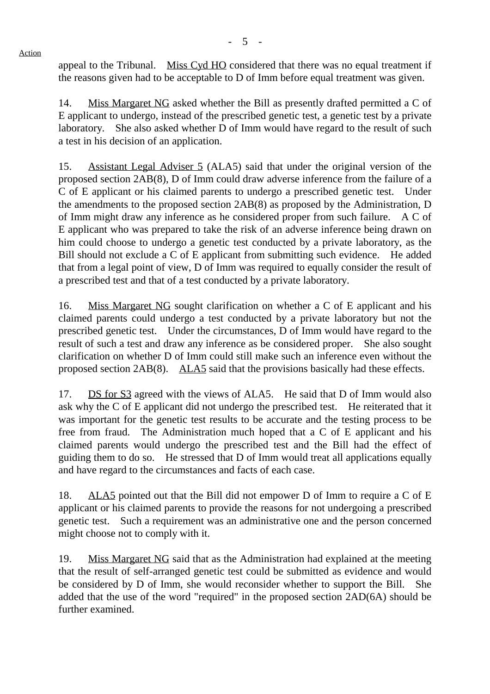## Action

appeal to the Tribunal. Miss Cyd HO considered that there was no equal treatment if the reasons given had to be acceptable to D of Imm before equal treatment was given.

14. Miss Margaret NG asked whether the Bill as presently drafted permitted a C of E applicant to undergo, instead of the prescribed genetic test, a genetic test by a private laboratory. She also asked whether D of Imm would have regard to the result of such a test in his decision of an application.

15. Assistant Legal Adviser 5 (ALA5) said that under the original version of the proposed section 2AB(8), D of Imm could draw adverse inference from the failure of a C of E applicant or his claimed parents to undergo a prescribed genetic test. Under the amendments to the proposed section 2AB(8) as proposed by the Administration, D of Imm might draw any inference as he considered proper from such failure. A C of E applicant who was prepared to take the risk of an adverse inference being drawn on him could choose to undergo a genetic test conducted by a private laboratory, as the Bill should not exclude a C of E applicant from submitting such evidence. He added that from a legal point of view, D of Imm was required to equally consider the result of a prescribed test and that of a test conducted by a private laboratory.

16. Miss Margaret NG sought clarification on whether a C of E applicant and his claimed parents could undergo a test conducted by a private laboratory but not the prescribed genetic test. Under the circumstances, D of Imm would have regard to the result of such a test and draw any inference as be considered proper. She also sought clarification on whether D of Imm could still make such an inference even without the proposed section 2AB(8). ALA5 said that the provisions basically had these effects.

17. DS for S3 agreed with the views of ALA5. He said that D of Imm would also ask why the C of E applicant did not undergo the prescribed test. He reiterated that it was important for the genetic test results to be accurate and the testing process to be free from fraud. The Administration much hoped that a C of E applicant and his claimed parents would undergo the prescribed test and the Bill had the effect of guiding them to do so. He stressed that D of Imm would treat all applications equally and have regard to the circumstances and facts of each case.

18. ALA5 pointed out that the Bill did not empower D of Imm to require a C of E applicant or his claimed parents to provide the reasons for not undergoing a prescribed genetic test. Such a requirement was an administrative one and the person concerned might choose not to comply with it.

19. Miss Margaret NG said that as the Administration had explained at the meeting that the result of self-arranged genetic test could be submitted as evidence and would be considered by D of Imm, she would reconsider whether to support the Bill. She added that the use of the word "required" in the proposed section 2AD(6A) should be further examined.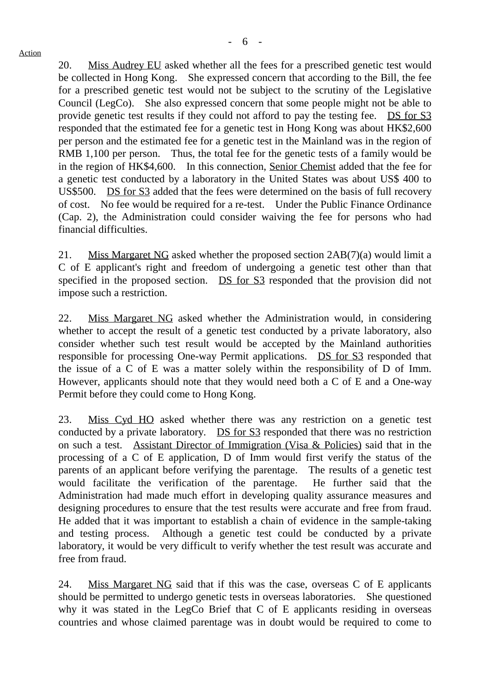20. Miss Audrey EU asked whether all the fees for a prescribed genetic test would be collected in Hong Kong. She expressed concern that according to the Bill, the fee for a prescribed genetic test would not be subject to the scrutiny of the Legislative Council (LegCo). She also expressed concern that some people might not be able to provide genetic test results if they could not afford to pay the testing fee. DS for S3 responded that the estimated fee for a genetic test in Hong Kong was about HK\$2,600 per person and the estimated fee for a genetic test in the Mainland was in the region of RMB 1,100 per person. Thus, the total fee for the genetic tests of a family would be in the region of HK\$4,600. In this connection, Senior Chemist added that the fee for a genetic test conducted by a laboratory in the United States was about US\$ 400 to US\$500. DS for S3 added that the fees were determined on the basis of full recovery of cost. No fee would be required for a re-test. Under the Public Finance Ordinance (Cap. 2), the Administration could consider waiving the fee for persons who had financial difficulties.

21. Miss Margaret NG asked whether the proposed section  $2AB(7)(a)$  would limit a C of E applicant's right and freedom of undergoing a genetic test other than that specified in the proposed section. DS for S3 responded that the provision did not impose such a restriction.

22. Miss Margaret NG asked whether the Administration would, in considering whether to accept the result of a genetic test conducted by a private laboratory, also consider whether such test result would be accepted by the Mainland authorities responsible for processing One-way Permit applications. DS for S3 responded that the issue of a C of E was a matter solely within the responsibility of D of Imm. However, applicants should note that they would need both a C of E and a One-way Permit before they could come to Hong Kong.

23. Miss Cyd HO asked whether there was any restriction on a genetic test conducted by a private laboratory. DS for S3 responded that there was no restriction on such a test. Assistant Director of Immigration (Visa & Policies) said that in the processing of a C of E application, D of Imm would first verify the status of the parents of an applicant before verifying the parentage. The results of a genetic test would facilitate the verification of the parentage. He further said that the Administration had made much effort in developing quality assurance measures and designing procedures to ensure that the test results were accurate and free from fraud. He added that it was important to establish a chain of evidence in the sample-taking and testing process. Although a genetic test could be conducted by a private laboratory, it would be very difficult to verify whether the test result was accurate and free from fraud.

24. Miss Margaret NG said that if this was the case, overseas C of E applicants should be permitted to undergo genetic tests in overseas laboratories. She questioned why it was stated in the LegCo Brief that C of E applicants residing in overseas countries and whose claimed parentage was in doubt would be required to come to